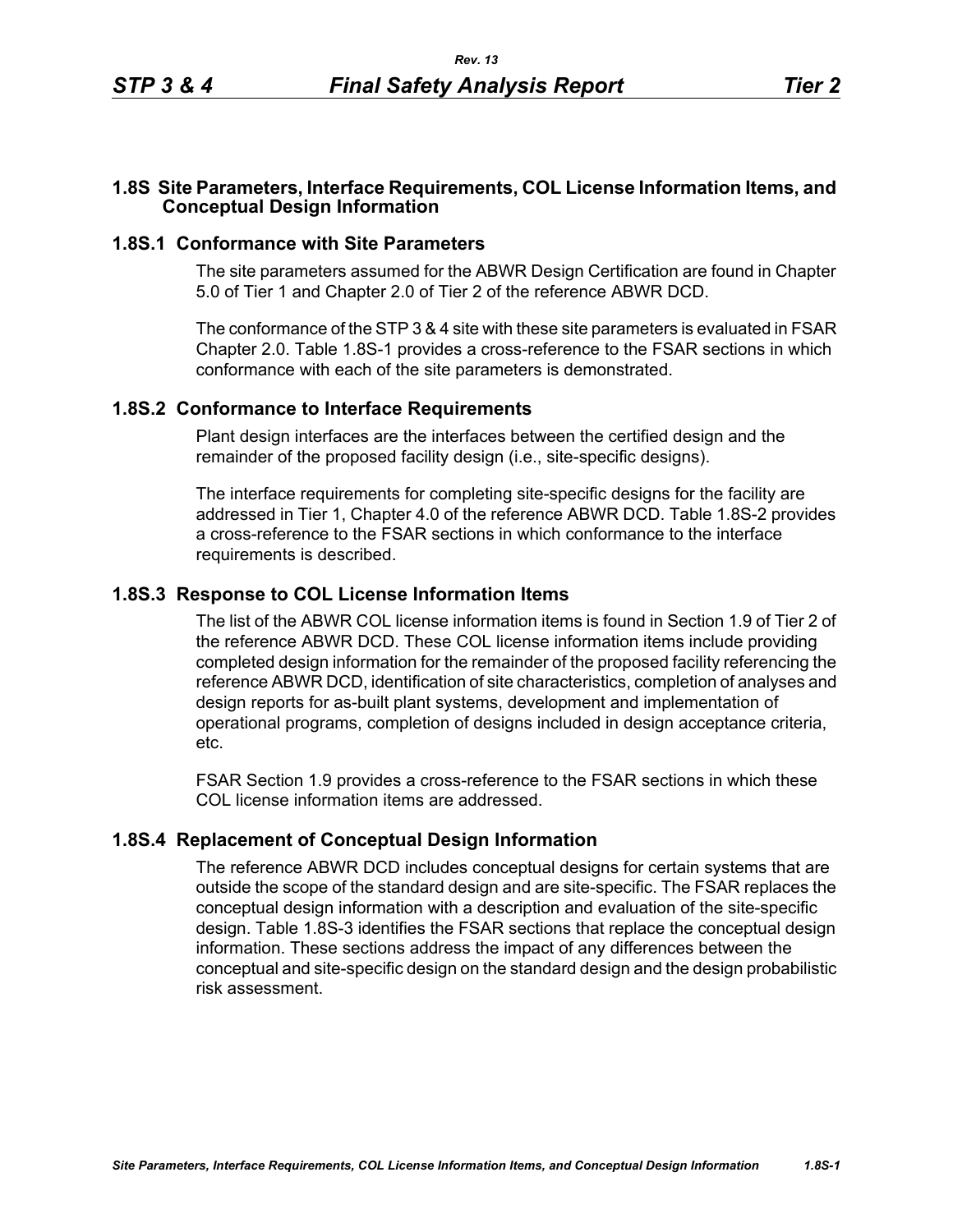### **1.8S Site Parameters, Interface Requirements, COL License Information Items, and Conceptual Design Information**

### **1.8S.1 Conformance with Site Parameters**

The site parameters assumed for the ABWR Design Certification are found in Chapter 5.0 of Tier 1 and Chapter 2.0 of Tier 2 of the reference ABWR DCD.

The conformance of the STP 3 & 4 site with these site parameters is evaluated in FSAR Chapter 2.0. Table [1.8S-1](#page-1-0) provides a cross-reference to the FSAR sections in which conformance with each of the site parameters is demonstrated.

#### **1.8S.2 Conformance to Interface Requirements**

Plant design interfaces are the interfaces between the certified design and the remainder of the proposed facility design (i.e., site-specific designs).

The interface requirements for completing site-specific designs for the facility are addressed in Tier 1, Chapter 4.0 of the reference ABWR DCD. Table [1.8S-2](#page-2-0) provides a cross-reference to the FSAR sections in which conformance to the interface requirements is described.

# **1.8S.3 Response to COL License Information Items**

The list of the ABWR COL license information items is found in Section 1.9 of Tier 2 of the reference ABWR DCD. These COL license information items include providing completed design information for the remainder of the proposed facility referencing the reference ABWR DCD, identification of site characteristics, completion of analyses and design reports for as-built plant systems, development and implementation of operational programs, completion of designs included in design acceptance criteria, etc.

FSAR Section 1.9 provides a cross-reference to the FSAR sections in which these COL license information items are addressed.

# **1.8S.4 Replacement of Conceptual Design Information**

The reference ABWR DCD includes conceptual designs for certain systems that are outside the scope of the standard design and are site-specific. The FSAR replaces the conceptual design information with a description and evaluation of the site-specific design. Table [1.8S-3](#page-3-0) identifies the FSAR sections that replace the conceptual design information. These sections address the impact of any differences between the conceptual and site-specific design on the standard design and the design probabilistic risk assessment.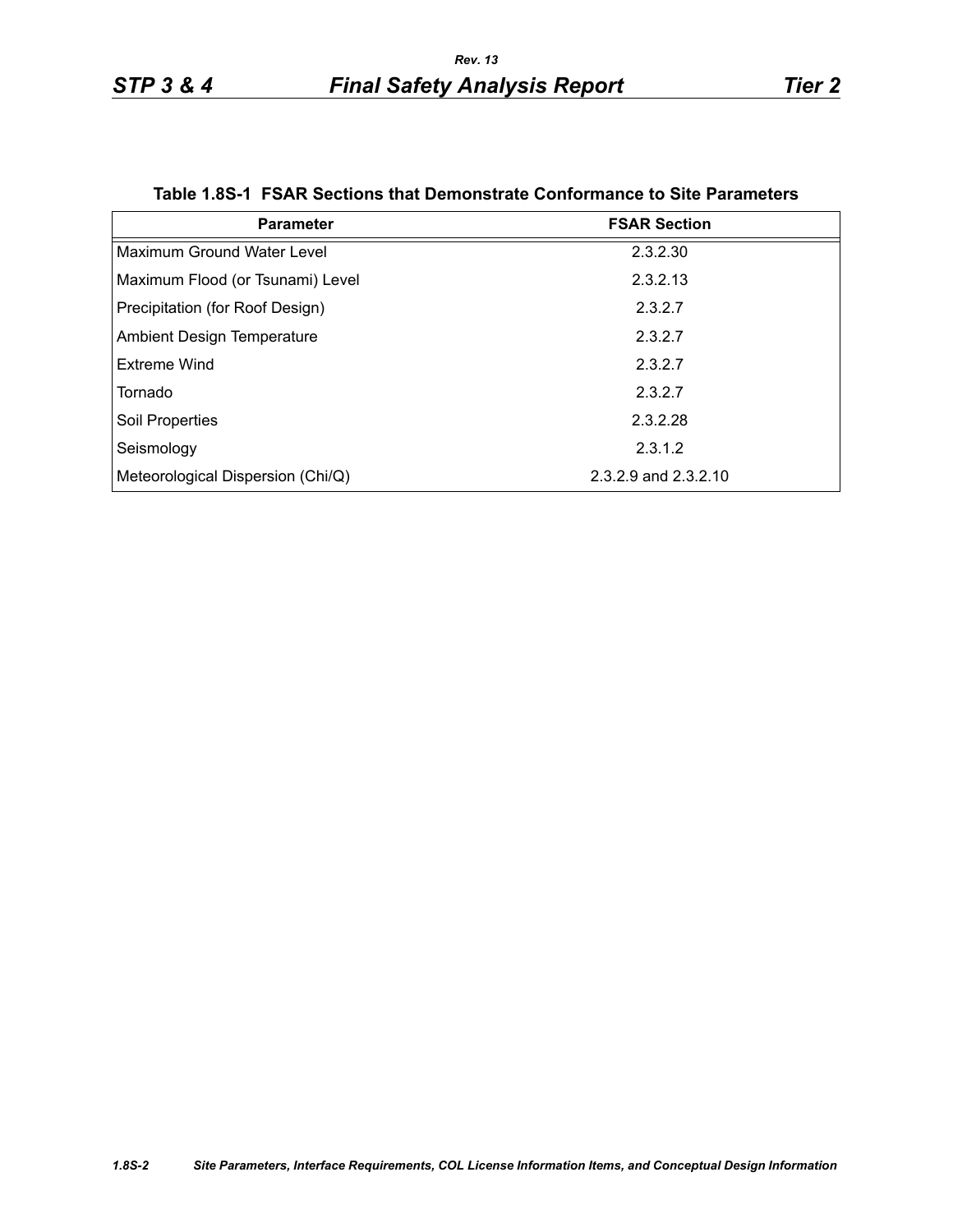|  | Table 1.8S-1 FSAR Sections that Demonstrate Conformance to Site Parameters |  |  |  |
|--|----------------------------------------------------------------------------|--|--|--|
|--|----------------------------------------------------------------------------|--|--|--|

<span id="page-1-0"></span>

| <b>Parameter</b>                  | <b>FSAR Section</b>  |  |  |
|-----------------------------------|----------------------|--|--|
| Maximum Ground Water Level        | 2.3.2.30             |  |  |
| Maximum Flood (or Tsunami) Level  | 2.3.2.13             |  |  |
| Precipitation (for Roof Design)   | 2.3.2.7              |  |  |
| <b>Ambient Design Temperature</b> | 2.3.2.7              |  |  |
| Extreme Wind                      | 2.3.2.7              |  |  |
| Tornado                           | 2.3.2.7              |  |  |
| Soil Properties                   | 2.3.2.28             |  |  |
| Seismology                        | 2.3.1.2              |  |  |
| Meteorological Dispersion (Chi/Q) | 2.3.2.9 and 2.3.2.10 |  |  |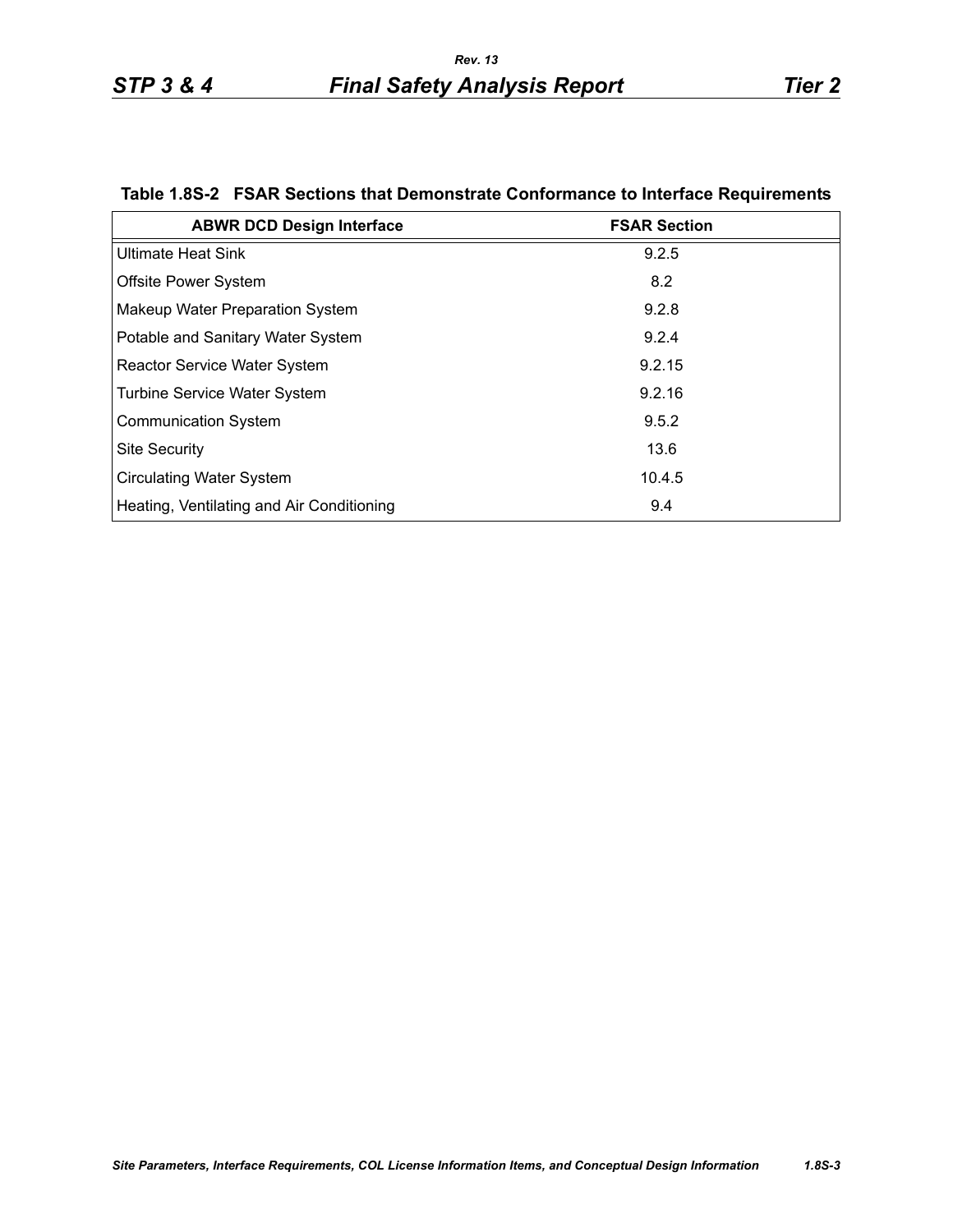| <b>ABWR DCD Design Interface</b>          | <b>FSAR Section</b> |
|-------------------------------------------|---------------------|
| <b>Ultimate Heat Sink</b>                 | 9.2.5               |
| <b>Offsite Power System</b>               | 8.2                 |
| Makeup Water Preparation System           | 9.2.8               |
| Potable and Sanitary Water System         | 9.2.4               |
| <b>Reactor Service Water System</b>       | 9.2.15              |
| <b>Turbine Service Water System</b>       | 9.2.16              |
| <b>Communication System</b>               | 9.5.2               |
| <b>Site Security</b>                      | 13.6                |
| <b>Circulating Water System</b>           | 10.4.5              |
| Heating, Ventilating and Air Conditioning | 9.4                 |

# <span id="page-2-0"></span>**Table 1.8S-2 FSAR Sections that Demonstrate Conformance to Interface Requirements**